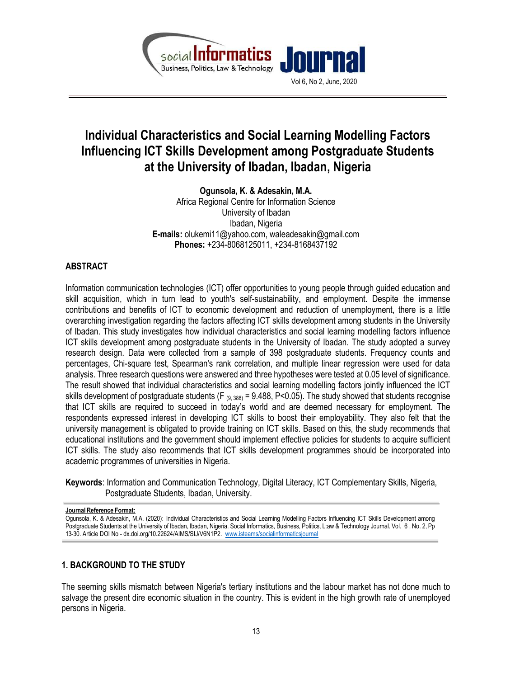

# Individual Characteristics and Social Learning Modelling Factors Influencing ICT Skills Development among Postgraduate Students at the University of Ibadan, Ibadan, Nigeria

Ogunsola, K. & Adesakin, M.A. Africa Regional Centre for Information Science University of Ibadan Ibadan, Nigeria E-mails: olukemi11@yahoo.com, waleadesakin@gmail.com Phones: +234-8068125011, +234-8168437192

# ABSTRACT

Information communication technologies (ICT) offer opportunities to young people through guided education and skill acquisition, which in turn lead to youth's self-sustainability, and employment. Despite the immense contributions and benefits of ICT to economic development and reduction of unemployment, there is a little overarching investigation regarding the factors affecting ICT skills development among students in the University of Ibadan. This study investigates how individual characteristics and social learning modelling factors influence ICT skills development among postgraduate students in the University of Ibadan. The study adopted a survey research design. Data were collected from a sample of 398 postgraduate students. Frequency counts and percentages, Chi-square test, Spearman's rank correlation, and multiple linear regression were used for data analysis. Three research questions were answered and three hypotheses were tested at 0.05 level of significance. The result showed that individual characteristics and social learning modelling factors jointly influenced the ICT skills development of postgraduate students (F  $_{(9, 388)}$  = 9.488, P<0.05). The study showed that students recognise that ICT skills are required to succeed in today's world and are deemed necessary for employment. The respondents expressed interest in developing ICT skills to boost their employability. They also felt that the university management is obligated to provide training on ICT skills. Based on this, the study recommends that educational institutions and the government should implement effective policies for students to acquire sufficient ICT skills. The study also recommends that ICT skills development programmes should be incorporated into academic programmes of universities in Nigeria.

Keywords: Information and Communication Technology, Digital Literacy, ICT Complementary Skills, Nigeria, Postgraduate Students, Ibadan, University.

Journal Reference Format:

Ogunsola, K. & Adesakin, M.A. (2020): Individual Characteristics and Social Learning Modelling Factors Influencing ICT Skills Development among Postgraduate Students at the University of Ibadan, Ibadan, Nigeria. Social Informatics, Business, Politics, L:aw & Technology Journal. Vol. 6 . No. 2, Pp 13-30. Article DOI No - dx.doi.org/10.22624/AIMS/SIJ/V6N1P2. www.isteams/socialinformaticsjournal

# 1. BACKGROUND TO THE STUDY

The seeming skills mismatch between Nigeria's tertiary institutions and the labour market has not done much to salvage the present dire economic situation in the country. This is evident in the high growth rate of unemployed persons in Nigeria.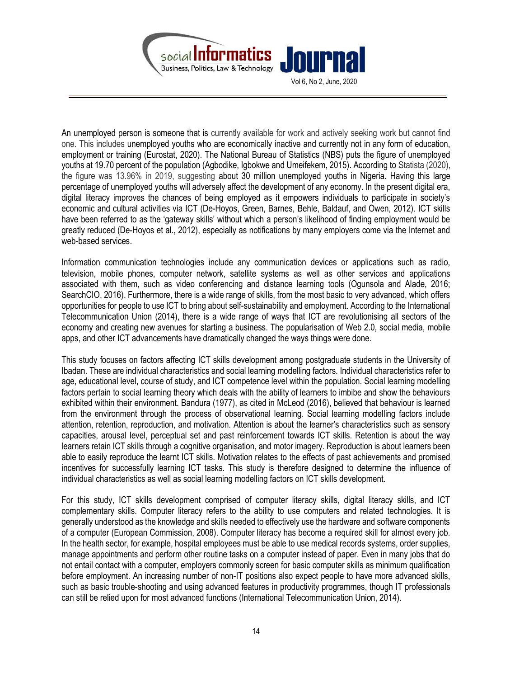

An unemployed person is someone that is currently available for work and actively seeking work but cannot find one. This includes unemployed youths who are economically inactive and currently not in any form of education, employment or training (Eurostat, 2020). The National Bureau of Statistics (NBS) puts the figure of unemployed youths at 19.70 percent of the population (Agbodike, Igbokwe and Umeifekem, 2015). According to Statista (2020), the figure was 13.96% in 2019, suggesting about 30 million unemployed youths in Nigeria. Having this large percentage of unemployed youths will adversely affect the development of any economy. In the present digital era, digital literacy improves the chances of being employed as it empowers individuals to participate in society's economic and cultural activities via ICT (De-Hoyos, Green, Barnes, Behle, Baldauf, and Owen, 2012). ICT skills have been referred to as the 'gateway skills' without which a person's likelihood of finding employment would be greatly reduced (De-Hoyos et al., 2012), especially as notifications by many employers come via the Internet and web-based services.

Information communication technologies include any communication devices or applications such as radio, television, mobile phones, computer network, satellite systems as well as other services and applications associated with them, such as video conferencing and distance learning tools (Ogunsola and Alade, 2016; SearchCIO, 2016). Furthermore, there is a wide range of skills, from the most basic to very advanced, which offers opportunities for people to use ICT to bring about self-sustainability and employment. According to the International Telecommunication Union (2014), there is a wide range of ways that ICT are revolutionising all sectors of the economy and creating new avenues for starting a business. The popularisation of Web 2.0, social media, mobile apps, and other ICT advancements have dramatically changed the ways things were done.

This study focuses on factors affecting ICT skills development among postgraduate students in the University of Ibadan. These are individual characteristics and social learning modelling factors. Individual characteristics refer to age, educational level, course of study, and ICT competence level within the population. Social learning modelling factors pertain to social learning theory which deals with the ability of learners to imbibe and show the behaviours exhibited within their environment. Bandura (1977), as cited in McLeod (2016), believed that behaviour is learned from the environment through the process of observational learning. Social learning modelling factors include attention, retention, reproduction, and motivation. Attention is about the learner's characteristics such as sensory capacities, arousal level, perceptual set and past reinforcement towards ICT skills. Retention is about the way learners retain ICT skills through a cognitive organisation, and motor imagery. Reproduction is about learners been able to easily reproduce the learnt ICT skills. Motivation relates to the effects of past achievements and promised incentives for successfully learning ICT tasks. This study is therefore designed to determine the influence of individual characteristics as well as social learning modelling factors on ICT skills development.

For this study, ICT skills development comprised of computer literacy skills, digital literacy skills, and ICT complementary skills. Computer literacy refers to the ability to use computers and related technologies. It is generally understood as the knowledge and skills needed to effectively use the hardware and software components of a computer (European Commission, 2008). Computer literacy has become a required skill for almost every job. In the health sector, for example, hospital employees must be able to use medical records systems, order supplies, manage appointments and perform other routine tasks on a computer instead of paper. Even in many jobs that do not entail contact with a computer, employers commonly screen for basic computer skills as minimum qualification before employment. An increasing number of non-IT positions also expect people to have more advanced skills, such as basic trouble-shooting and using advanced features in productivity programmes, though IT professionals can still be relied upon for most advanced functions (International Telecommunication Union, 2014).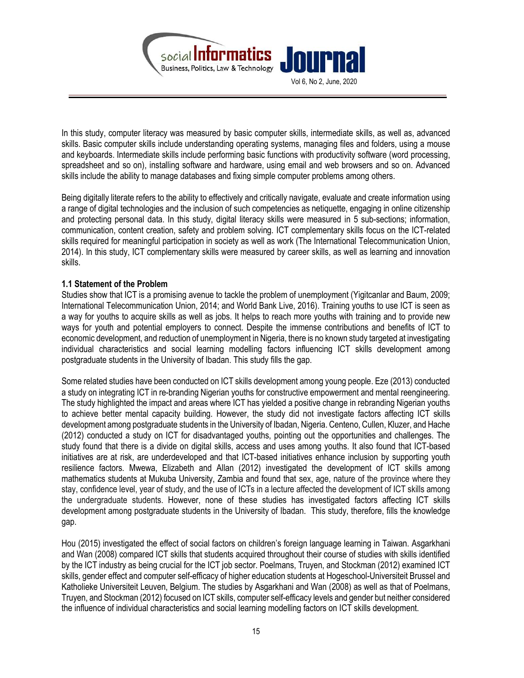

In this study, computer literacy was measured by basic computer skills, intermediate skills, as well as, advanced skills. Basic computer skills include understanding operating systems, managing files and folders, using a mouse and keyboards. Intermediate skills include performing basic functions with productivity software (word processing, spreadsheet and so on), installing software and hardware, using email and web browsers and so on. Advanced skills include the ability to manage databases and fixing simple computer problems among others.

Being digitally literate refers to the ability to effectively and critically navigate, evaluate and create information using a range of digital technologies and the inclusion of such competencies as netiquette, engaging in online citizenship and protecting personal data. In this study, digital literacy skills were measured in 5 sub-sections; information, communication, content creation, safety and problem solving. ICT complementary skills focus on the ICT-related skills required for meaningful participation in society as well as work (The International Telecommunication Union, 2014). In this study, ICT complementary skills were measured by career skills, as well as learning and innovation skills.

### 1.1 Statement of the Problem

Studies show that ICT is a promising avenue to tackle the problem of unemployment (Yigitcanlar and Baum, 2009; International Telecommunication Union, 2014; and World Bank Live, 2016). Training youths to use ICT is seen as a way for youths to acquire skills as well as jobs. It helps to reach more youths with training and to provide new ways for youth and potential employers to connect. Despite the immense contributions and benefits of ICT to economic development, and reduction of unemployment in Nigeria, there is no known study targeted at investigating individual characteristics and social learning modelling factors influencing ICT skills development among postgraduate students in the University of Ibadan. This study fills the gap.

Some related studies have been conducted on ICT skills development among young people. Eze (2013) conducted a study on integrating ICT in re-branding Nigerian youths for constructive empowerment and mental reengineering. The study highlighted the impact and areas where ICT has yielded a positive change in rebranding Nigerian youths to achieve better mental capacity building. However, the study did not investigate factors affecting ICT skills development among postgraduate students in the University of Ibadan, Nigeria. Centeno, Cullen, Kluzer, and Hache (2012) conducted a study on ICT for disadvantaged youths, pointing out the opportunities and challenges. The study found that there is a divide on digital skills, access and uses among youths. It also found that ICT-based initiatives are at risk, are underdeveloped and that ICT-based initiatives enhance inclusion by supporting youth resilience factors. Mwewa, Elizabeth and Allan (2012) investigated the development of ICT skills among mathematics students at Mukuba University, Zambia and found that sex, age, nature of the province where they stay, confidence level, year of study, and the use of ICTs in a lecture affected the development of ICT skills among the undergraduate students. However, none of these studies has investigated factors affecting ICT skills development among postgraduate students in the University of Ibadan. This study, therefore, fills the knowledge gap.

Hou (2015) investigated the effect of social factors on children's foreign language learning in Taiwan. Asgarkhani and Wan (2008) compared ICT skills that students acquired throughout their course of studies with skills identified by the ICT industry as being crucial for the ICT job sector. Poelmans, Truyen, and Stockman (2012) examined ICT skills, gender effect and computer self-efficacy of higher education students at Hogeschool-Universiteit Brussel and Katholieke Universiteit Leuven, Belgium. The studies by Asgarkhani and Wan (2008) as well as that of Poelmans, Truyen, and Stockman (2012) focused on ICT skills, computer self-efficacy levels and gender but neither considered the influence of individual characteristics and social learning modelling factors on ICT skills development.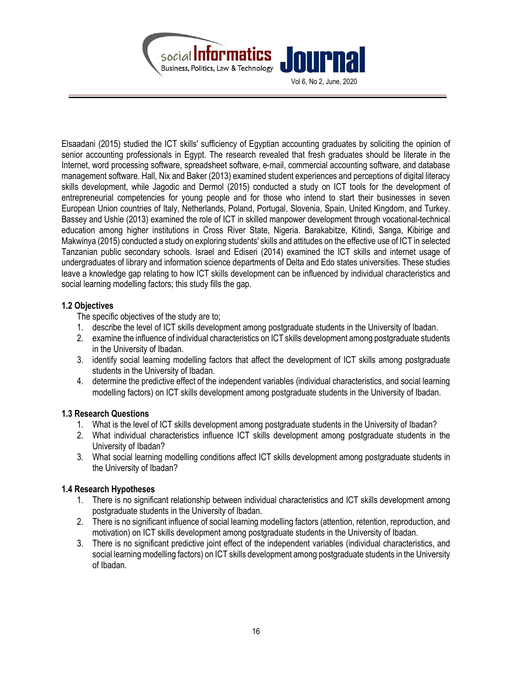

Elsaadani (2015) studied the ICT skills' sufficiency of Egyptian accounting graduates by soliciting the opinion of senior accounting professionals in Egypt. The research revealed that fresh graduates should be literate in the Internet, word processing software, spreadsheet software, e-mail, commercial accounting software, and database management software. Hall, Nix and Baker (2013) examined student experiences and perceptions of digital literacy skills development, while Jagodic and Dermol (2015) conducted a study on ICT tools for the development of entrepreneurial competencies for young people and for those who intend to start their businesses in seven European Union countries of Italy, Netherlands, Poland, Portugal, Slovenia, Spain, United Kingdom, and Turkey. Bassey and Ushie (2013) examined the role of ICT in skilled manpower development through vocational-technical education among higher institutions in Cross River State, Nigeria. Barakabitze, Kitindi, Sanga, Kibirige and Makwinya (2015) conducted a study on exploring students' skills and attitudes on the effective use of ICT in selected Tanzanian public secondary schools. Israel and Ediseri (2014) examined the ICT skills and internet usage of undergraduates of library and information science departments of Delta and Edo states universities. These studies leave a knowledge gap relating to how ICT skills development can be influenced by individual characteristics and social learning modelling factors; this study fills the gap.

# 1.2 Objectives

The specific objectives of the study are to;

- 1. describe the level of ICT skills development among postgraduate students in the University of Ibadan.
- 2. examine the influence of individual characteristics on ICT skills development among postgraduate students in the University of Ibadan.
- 3. identify social learning modelling factors that affect the development of ICT skills among postgraduate students in the University of Ibadan.
- 4. determine the predictive effect of the independent variables (individual characteristics, and social learning modelling factors) on ICT skills development among postgraduate students in the University of Ibadan.

### 1.3 Research Questions

- 1. What is the level of ICT skills development among postgraduate students in the University of Ibadan?
- 2. What individual characteristics influence ICT skills development among postgraduate students in the University of Ibadan?
- 3. What social learning modelling conditions affect ICT skills development among postgraduate students in the University of Ibadan?

# 1.4 Research Hypotheses

- 1. There is no significant relationship between individual characteristics and ICT skills development among postgraduate students in the University of Ibadan.
- 2. There is no significant influence of social learning modelling factors (attention, retention, reproduction, and motivation) on ICT skills development among postgraduate students in the University of Ibadan.
- 3. There is no significant predictive joint effect of the independent variables (individual characteristics, and social learning modelling factors) on ICT skills development among postgraduate students in the University of Ibadan.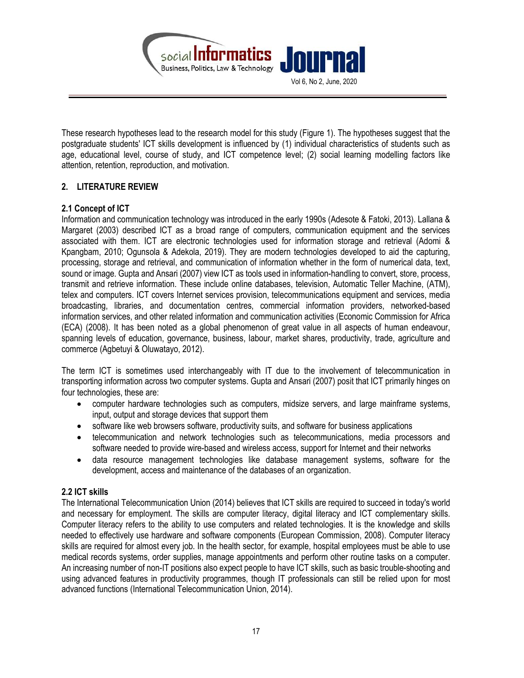

These research hypotheses lead to the research model for this study (Figure 1). The hypotheses suggest that the postgraduate students' ICT skills development is influenced by (1) individual characteristics of students such as age, educational level, course of study, and ICT competence level; (2) social learning modelling factors like attention, retention, reproduction, and motivation.

# 2. LITERATURE REVIEW

# 2.1 Concept of ICT

Information and communication technology was introduced in the early 1990s (Adesote & Fatoki, 2013). Lallana & Margaret (2003) described ICT as a broad range of computers, communication equipment and the services associated with them. ICT are electronic technologies used for information storage and retrieval (Adomi & Kpangbam, 2010; Ogunsola & Adekola, 2019). They are modern technologies developed to aid the capturing, processing, storage and retrieval, and communication of information whether in the form of numerical data, text, sound or image. Gupta and Ansari (2007) view ICT as tools used in information-handling to convert, store, process, transmit and retrieve information. These include online databases, television, Automatic Teller Machine, (ATM), telex and computers. ICT covers Internet services provision, telecommunications equipment and services, media broadcasting, libraries, and documentation centres, commercial information providers, networked-based information services, and other related information and communication activities (Economic Commission for Africa (ECA) (2008). It has been noted as a global phenomenon of great value in all aspects of human endeavour, spanning levels of education, governance, business, labour, market shares, productivity, trade, agriculture and commerce (Agbetuyi & Oluwatayo, 2012).

The term ICT is sometimes used interchangeably with IT due to the involvement of telecommunication in transporting information across two computer systems. Gupta and Ansari (2007) posit that ICT primarily hinges on four technologies, these are:

- computer hardware technologies such as computers, midsize servers, and large mainframe systems, input, output and storage devices that support them
- software like web browsers software, productivity suits, and software for business applications
- telecommunication and network technologies such as telecommunications, media processors and software needed to provide wire-based and wireless access, support for Internet and their networks
- data resource management technologies like database management systems, software for the development, access and maintenance of the databases of an organization.

### 2.2 ICT skills

The International Telecommunication Union (2014) believes that ICT skills are required to succeed in today's world and necessary for employment. The skills are computer literacy, digital literacy and ICT complementary skills. Computer literacy refers to the ability to use computers and related technologies. It is the knowledge and skills needed to effectively use hardware and software components (European Commission, 2008). Computer literacy skills are required for almost every job. In the health sector, for example, hospital employees must be able to use medical records systems, order supplies, manage appointments and perform other routine tasks on a computer. An increasing number of non-IT positions also expect people to have ICT skills, such as basic trouble-shooting and using advanced features in productivity programmes, though IT professionals can still be relied upon for most advanced functions (International Telecommunication Union, 2014).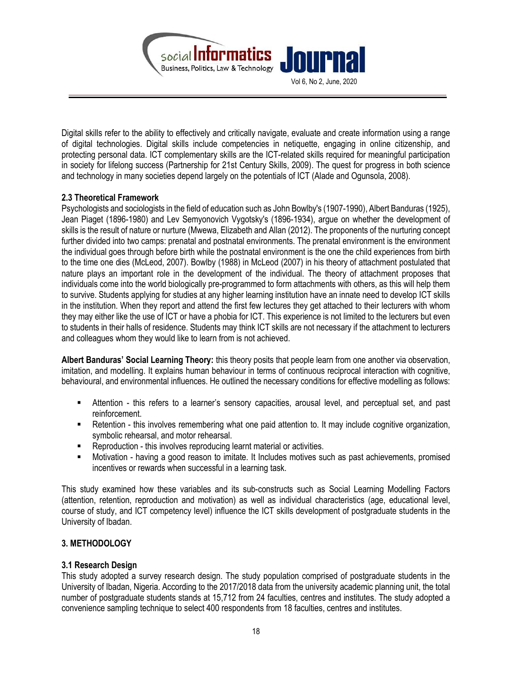

Digital skills refer to the ability to effectively and critically navigate, evaluate and create information using a range of digital technologies. Digital skills include competencies in netiquette, engaging in online citizenship, and protecting personal data. ICT complementary skills are the ICT-related skills required for meaningful participation in society for lifelong success (Partnership for 21st Century Skills, 2009). The quest for progress in both science and technology in many societies depend largely on the potentials of ICT (Alade and Ogunsola, 2008).

# 2.3 Theoretical Framework

Psychologists and sociologists in the field of education such as John Bowlby's (1907-1990), Albert Banduras (1925), Jean Piaget (1896-1980) and Lev Semyonovich Vygotsky's (1896-1934), argue on whether the development of skills is the result of nature or nurture (Mwewa, Elizabeth and Allan (2012). The proponents of the nurturing concept further divided into two camps: prenatal and postnatal environments. The prenatal environment is the environment the individual goes through before birth while the postnatal environment is the one the child experiences from birth to the time one dies (McLeod, 2007). Bowlby (1988) in McLeod (2007) in his theory of attachment postulated that nature plays an important role in the development of the individual. The theory of attachment proposes that individuals come into the world biologically pre-programmed to form attachments with others, as this will help them to survive. Students applying for studies at any higher learning institution have an innate need to develop ICT skills in the institution. When they report and attend the first few lectures they get attached to their lecturers with whom they may either like the use of ICT or have a phobia for ICT. This experience is not limited to the lecturers but even to students in their halls of residence. Students may think ICT skills are not necessary if the attachment to lecturers and colleagues whom they would like to learn from is not achieved.

Albert Banduras' Social Learning Theory: this theory posits that people learn from one another via observation, imitation, and modelling. It explains human behaviour in terms of continuous reciprocal interaction with cognitive, behavioural, and environmental influences. He outlined the necessary conditions for effective modelling as follows:

- Attention this refers to a learner's sensory capacities, arousal level, and perceptual set, and past reinforcement.
- Retention this involves remembering what one paid attention to. It may include cognitive organization, symbolic rehearsal, and motor rehearsal.
- **Reproduction this involves reproducing learnt material or activities.**
- Motivation having a good reason to imitate. It Includes motives such as past achievements, promised incentives or rewards when successful in a learning task.

This study examined how these variables and its sub-constructs such as Social Learning Modelling Factors (attention, retention, reproduction and motivation) as well as individual characteristics (age, educational level, course of study, and ICT competency level) influence the ICT skills development of postgraduate students in the University of Ibadan.

# 3. METHODOLOGY

### 3.1 Research Design

This study adopted a survey research design. The study population comprised of postgraduate students in the University of Ibadan, Nigeria. According to the 2017/2018 data from the university academic planning unit, the total number of postgraduate students stands at 15,712 from 24 faculties, centres and institutes. The study adopted a convenience sampling technique to select 400 respondents from 18 faculties, centres and institutes.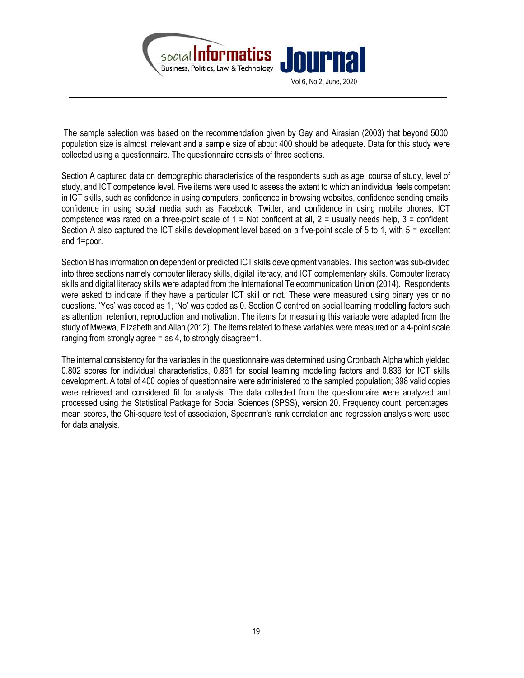

 The sample selection was based on the recommendation given by Gay and Airasian (2003) that beyond 5000, population size is almost irrelevant and a sample size of about 400 should be adequate. Data for this study were collected using a questionnaire. The questionnaire consists of three sections.

Section A captured data on demographic characteristics of the respondents such as age, course of study, level of study, and ICT competence level. Five items were used to assess the extent to which an individual feels competent in ICT skills, such as confidence in using computers, confidence in browsing websites, confidence sending emails, confidence in using social media such as Facebook, Twitter, and confidence in using mobile phones. ICT competence was rated on a three-point scale of  $1 = Not$  confident at all,  $2 =$  usually needs help,  $3 =$  confident. Section A also captured the ICT skills development level based on a five-point scale of 5 to 1, with 5 = excellent and 1=poor.

Section B has information on dependent or predicted ICT skills development variables. This section was sub-divided into three sections namely computer literacy skills, digital literacy, and ICT complementary skills. Computer literacy skills and digital literacy skills were adapted from the International Telecommunication Union (2014). Respondents were asked to indicate if they have a particular ICT skill or not. These were measured using binary yes or no questions. 'Yes' was coded as 1, 'No' was coded as 0. Section C centred on social learning modelling factors such as attention, retention, reproduction and motivation. The items for measuring this variable were adapted from the study of Mwewa, Elizabeth and Allan (2012). The items related to these variables were measured on a 4-point scale ranging from strongly agree = as 4, to strongly disagree=1.

The internal consistency for the variables in the questionnaire was determined using Cronbach Alpha which yielded 0.802 scores for individual characteristics, 0.861 for social learning modelling factors and 0.836 for ICT skills development. A total of 400 copies of questionnaire were administered to the sampled population; 398 valid copies were retrieved and considered fit for analysis. The data collected from the questionnaire were analyzed and processed using the Statistical Package for Social Sciences (SPSS), version 20. Frequency count, percentages, mean scores, the Chi-square test of association, Spearman's rank correlation and regression analysis were used for data analysis.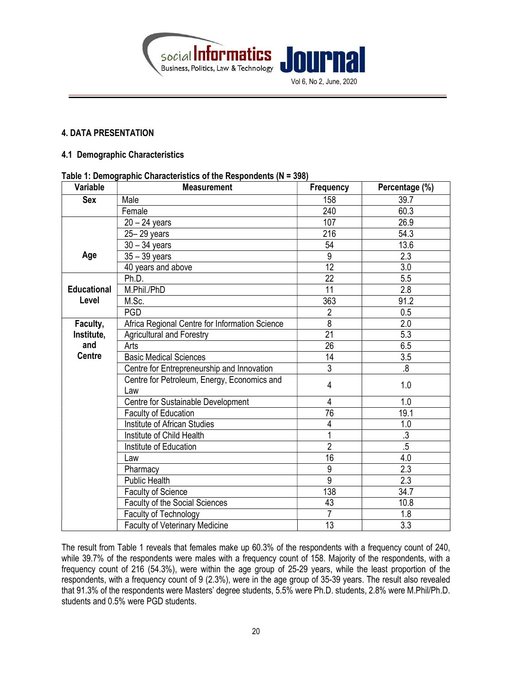



### 4. DATA PRESENTATION

#### 4.1 Demographic Characteristics

#### Table 1: Demographic Characteristics of the Respondents (N = 398)

| Variable           | . asia  Domograpnio Gnaraotoriotico or tho rtooponaonto (n<br><b>Measurement</b> | Frequency       | Percentage (%)   |
|--------------------|----------------------------------------------------------------------------------|-----------------|------------------|
| <b>Sex</b>         | Male                                                                             | 158             | 39.7             |
|                    | Female                                                                           | 240             | 60.3             |
|                    | $20 - 24$ years                                                                  | 107             | 26.9             |
|                    | 25-29 years                                                                      | 216             | 54.3             |
|                    | $30 - 34$ years                                                                  | 54              | 13.6             |
| Age                | $35 - 39$ years                                                                  | 9               | 2.3              |
|                    | 40 years and above                                                               | $\overline{12}$ | $\overline{3.0}$ |
|                    | Ph.D.                                                                            | $\overline{22}$ | 5.5              |
| <b>Educational</b> | M.Phil./PhD                                                                      | 11              | 2.8              |
| Level              | M.Sc.                                                                            | 363             | 91.2             |
|                    | <b>PGD</b>                                                                       | $\overline{2}$  | 0.5              |
| Faculty,           | Africa Regional Centre for Information Science                                   | $\overline{8}$  | 2.0              |
| Institute,         | <b>Agricultural and Forestry</b>                                                 | $\overline{21}$ | 5.3              |
| and                | Arts                                                                             | $\overline{26}$ | 6.5              |
| <b>Centre</b>      | <b>Basic Medical Sciences</b>                                                    | 14              | 3.5              |
|                    | Centre for Entrepreneurship and Innovation                                       | $\overline{3}$  | 8.               |
|                    | Centre for Petroleum, Energy, Economics and<br>Law                               | $\overline{4}$  | 1.0              |
|                    | Centre for Sustainable Development                                               | 4               | 1.0              |
|                    | Faculty of Education                                                             | 76              | 19.1             |
|                    | Institute of African Studies                                                     | 4               | 1.0              |
|                    | Institute of Child Health                                                        | 1               | $.3\,$           |
|                    | Institute of Education                                                           | $\overline{2}$  | .5               |
|                    | Law                                                                              | 16              | 4.0              |
|                    | Pharmacy                                                                         | 9               | 2.3              |
|                    | <b>Public Health</b>                                                             | $\overline{9}$  | 2.3              |
|                    | Faculty of Science                                                               | 138             | 34.7             |
|                    | <b>Faculty of the Social Sciences</b>                                            | 43              | 10.8             |
|                    | Faculty of Technology                                                            |                 | 1.8              |
|                    | <b>Faculty of Veterinary Medicine</b>                                            | $\overline{13}$ | $\overline{3.3}$ |

The result from Table 1 reveals that females make up 60.3% of the respondents with a frequency count of 240, while 39.7% of the respondents were males with a frequency count of 158. Majority of the respondents, with a frequency count of 216 (54.3%), were within the age group of 25-29 years, while the least proportion of the respondents, with a frequency count of 9 (2.3%), were in the age group of 35-39 years. The result also revealed that 91.3% of the respondents were Masters' degree students, 5.5% were Ph.D. students, 2.8% were M.Phil/Ph.D. students and 0.5% were PGD students.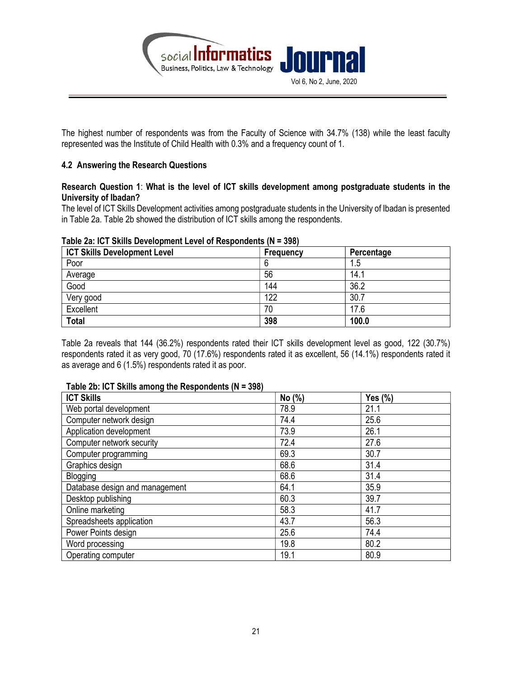

The highest number of respondents was from the Faculty of Science with 34.7% (138) while the least faculty represented was the Institute of Child Health with 0.3% and a frequency count of 1.

# 4.2 Answering the Research Questions

### Research Question 1: What is the level of ICT skills development among postgraduate students in the University of Ibadan?

The level of ICT Skills Development activities among postgraduate students in the University of Ibadan is presented in Table 2a. Table 2b showed the distribution of ICT skills among the respondents.

| $1$ and emity is a primer by the primeric entry. The transmitted its |           |            |  |  |  |  |  |
|----------------------------------------------------------------------|-----------|------------|--|--|--|--|--|
| <b>ICT Skills Development Level</b>                                  | Frequency | Percentage |  |  |  |  |  |
| Poor                                                                 |           | 1.5        |  |  |  |  |  |
| Average                                                              | 56        | 14.1       |  |  |  |  |  |
| Good                                                                 | 144       | 36.2       |  |  |  |  |  |
| Very good                                                            | 122       | 30.7       |  |  |  |  |  |
| Excellent                                                            | 70        | 17.6       |  |  |  |  |  |
| <b>Total</b>                                                         | 398       | 100.0      |  |  |  |  |  |

#### Table 2a: ICT Skills Development Level of Respondents (N = 398)

Table 2a reveals that 144 (36.2%) respondents rated their ICT skills development level as good, 122 (30.7%) respondents rated it as very good, 70 (17.6%) respondents rated it as excellent, 56 (14.1%) respondents rated it as average and 6 (1.5%) respondents rated it as poor.

#### Table 2b: ICT Skills among the Respondents (N = 398)

| <b>ICT Skills</b>              | No (%) | Yes $(\%)$ |
|--------------------------------|--------|------------|
| Web portal development         | 78.9   | 21.1       |
| Computer network design        | 74.4   | 25.6       |
| Application development        | 73.9   | 26.1       |
| Computer network security      | 72.4   | 27.6       |
| Computer programming           | 69.3   | 30.7       |
| Graphics design                | 68.6   | 31.4       |
| Blogging                       | 68.6   | 31.4       |
| Database design and management | 64.1   | 35.9       |
| Desktop publishing             | 60.3   | 39.7       |
| Online marketing               | 58.3   | 41.7       |
| Spreadsheets application       | 43.7   | 56.3       |
| Power Points design            | 25.6   | 74.4       |
| Word processing                | 19.8   | 80.2       |
| Operating computer             | 19.1   | 80.9       |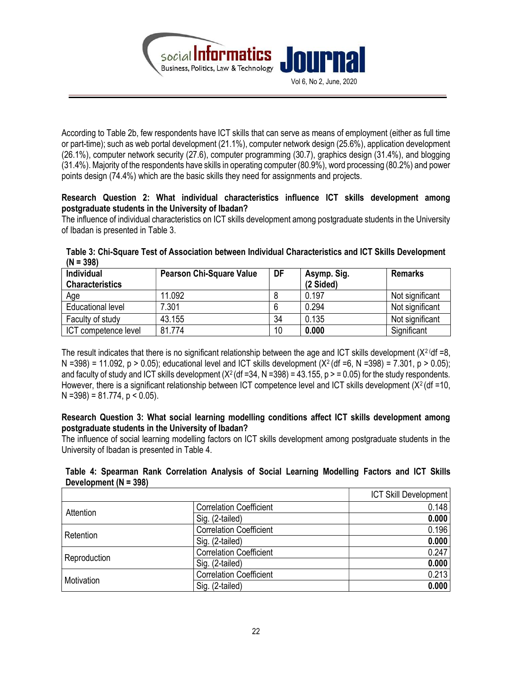

According to Table 2b, few respondents have ICT skills that can serve as means of employment (either as full time or part-time); such as web portal development (21.1%), computer network design (25.6%), application development (26.1%), computer network security (27.6), computer programming (30.7), graphics design (31.4%), and blogging (31.4%). Majority of the respondents have skills in operating computer (80.9%), word processing (80.2%) and power points design (74.4%) which are the basic skills they need for assignments and projects.

# Research Question 2: What individual characteristics influence ICT skills development among postgraduate students in the University of Ibadan?

The influence of individual characteristics on ICT skills development among postgraduate students in the University of Ibadan is presented in Table 3.

| $(N = 398)$ | Table 3: Chi-Square Test of Association between Individual Characteristics and ICT Skills Development |  |  |  |
|-------------|-------------------------------------------------------------------------------------------------------|--|--|--|
|             |                                                                                                       |  |  |  |

| Individual<br><b>Characteristics</b> | <b>Pearson Chi-Square Value</b> | DF | Asymp. Sig.<br>(2 Sided) | <b>Remarks</b>  |
|--------------------------------------|---------------------------------|----|--------------------------|-----------------|
| Age                                  | 11.092                          | о  | 0.197                    | Not significant |
| <b>Educational level</b>             | 7.301                           | 6  | 0.294                    | Not significant |
| Faculty of study                     | 43.155                          | 34 | 0.135                    | Not significant |
| ICT competence level                 | 81.774                          | 10 | 0.000                    | Significant     |

The result indicates that there is no significant relationship between the age and ICT skills development  $(X^2 \cdot df = 8)$ . N =398) = 11.092, p > 0.05); educational level and ICT skills development (X<sup>2</sup> (df =6, N =398) = 7.301, p > 0.05); and faculty of study and ICT skills development  $(X<sup>2</sup>(df = 34, N = 398) = 43.155, p > 0.05)$  for the study respondents. However, there is a significant relationship between ICT competence level and ICT skills development  $(X<sup>2</sup>$  (df =10,  $N = 398$ ) = 81.774, p < 0.05).

# Research Question 3: What social learning modelling conditions affect ICT skills development among postgraduate students in the University of Ibadan?

The influence of social learning modelling factors on ICT skills development among postgraduate students in the University of Ibadan is presented in Table 4.

# Table 4: Spearman Rank Correlation Analysis of Social Learning Modelling Factors and ICT Skills Development (N = 398)

|              |                                | <b>ICT Skill Development</b> |
|--------------|--------------------------------|------------------------------|
|              | <b>Correlation Coefficient</b> | 0.148                        |
| Attention    | Sig. (2-tailed)                | 0.000                        |
|              | <b>Correlation Coefficient</b> | 0.196                        |
| Retention    | Sig. (2-tailed)                | 0.000                        |
|              | <b>Correlation Coefficient</b> | 0.247                        |
| Reproduction | Sig. (2-tailed)                | 0.000                        |
| Motivation   | <b>Correlation Coefficient</b> | 0.213                        |
|              | Sig. (2-tailed)                | 0.000                        |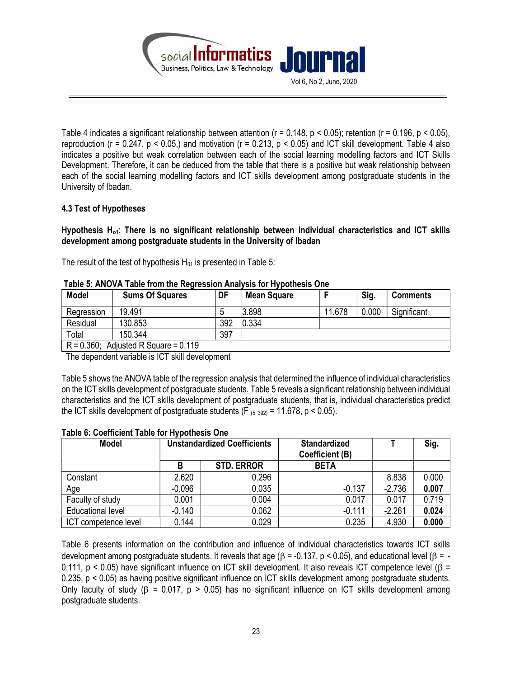

Table 4 indicates a significant relationship between attention (r = 0.148, p < 0.05); retention (r = 0.196, p < 0.05), reproduction ( $r = 0.247$ ,  $p < 0.05$ .) and motivation ( $r = 0.213$ ,  $p < 0.05$ ) and ICT skill development. Table 4 also indicates a positive but weak correlation between each of the social learning modelling factors and ICT Skills Development. Therefore, it can be deduced from the table that there is a positive but weak relationship between each of the social learning modelling factors and ICT skills development among postgraduate students in the University of Ibadan.

# 4.3 Test of Hypotheses

Hypothesis  $H_{01}$ : There is no significant relationship between individual characteristics and ICT skills development among postgraduate students in the University of Ibadan

The result of the test of hypothesis  $H_{01}$  is presented in Table 5:

| <b>Model</b>  | <b>Sums Of Squares</b>      | DF  | <b>Mean Square</b> |        | Sig.  | <b>Comments</b> |
|---------------|-----------------------------|-----|--------------------|--------|-------|-----------------|
| Regression    | 19.491                      |     | 3.898              | 11.678 | 0.000 | Significant     |
| Residual      | 130.853                     | 392 | 0.334              |        |       |                 |
| Total         | 150.344                     | 397 |                    |        |       |                 |
| $R = 0.360$ ; | Adjusted R Square = $0.119$ |     |                    |        |       |                 |

#### Table 5: ANOVA Table from the Regression Analysis for Hypothesis One

The dependent variable is ICT skill development

Table 5 shows the ANOVA table of the regression analysis that determined the influence of individual characteristics on the ICT skills development of postgraduate students. Table 5 reveals a significant relationship between individual characteristics and the ICT skills development of postgraduate students, that is, individual characteristics predict the ICT skills development of postgraduate students (F $_{(5, 392)}$  = 11.678, p < 0.05).

| <b>Model</b>             | <b>Unstandardized Coefficients</b> |                   | <b>Standardized</b><br><b>Coefficient (B)</b> |          | Sig.  |
|--------------------------|------------------------------------|-------------------|-----------------------------------------------|----------|-------|
|                          | B                                  | <b>STD. ERROR</b> | <b>BETA</b>                                   |          |       |
| Constant                 | 2.620                              | 0.296             |                                               | 8.838    | 0.000 |
| Age                      | $-0.096$                           | 0.035             | $-0.137$                                      | $-2.736$ | 0.007 |
| Faculty of study         | 0.001                              | 0.004             | 0.017                                         | 0.017    | 0.719 |
| <b>Educational level</b> | $-0.140$                           | 0.062             | $-0.111$                                      | $-2.261$ | 0.024 |
| ICT competence level     | 0.144                              | 0.029             | 0.235                                         | 4.930    | 0.000 |

### Table 6: Coefficient Table for Hypothesis One

Table 6 presents information on the contribution and influence of individual characteristics towards ICT skills development among postgraduate students. It reveals that age ( $\beta$  = -0.137, p < 0.05), and educational level ( $\beta$  = -0.111,  $p < 0.05$ ) have significant influence on ICT skill development. It also reveals ICT competence level ( $\beta$  = 0.235, p < 0.05) as having positive significant influence on ICT skills development among postgraduate students. Only faculty of study ( $\beta$  = 0.017,  $p > 0.05$ ) has no significant influence on ICT skills development among postgraduate students.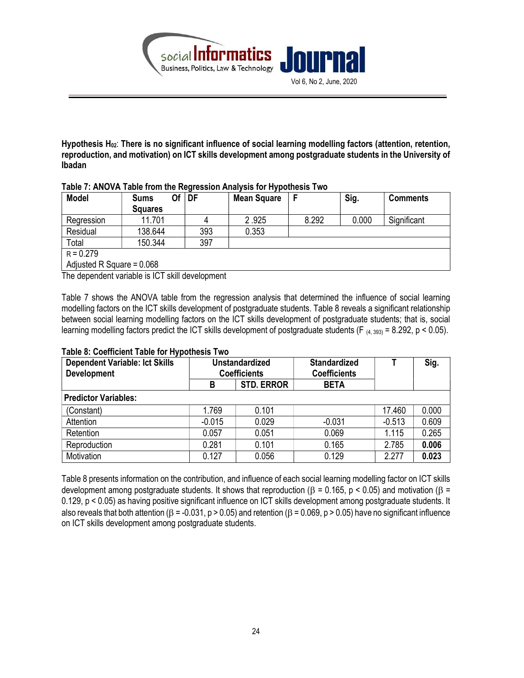

Hypothesis  $H_{02}$ : There is no significant influence of social learning modelling factors (attention, retention, reproduction, and motivation) on ICT skills development among postgraduate students in the University of Ibadan

| <b>Model</b>                | Of<br><b>Sums</b><br><b>Squares</b> | DF  | <b>Mean Square</b> |       | Sig.  | <b>Comments</b> |
|-----------------------------|-------------------------------------|-----|--------------------|-------|-------|-----------------|
| Regression                  | 11.701                              |     | 2.925              | 8.292 | 0.000 | Significant     |
| Residual                    | 138.644                             | 393 | 0.353              |       |       |                 |
| Total                       | 150.344                             | 397 |                    |       |       |                 |
| $R = 0.279$                 |                                     |     |                    |       |       |                 |
| Adjusted R Square = $0.068$ |                                     |     |                    |       |       |                 |

#### Table 7: ANOVA Table from the Regression Analysis for Hypothesis Two

The dependent variable is ICT skill development

Table 7 shows the ANOVA table from the regression analysis that determined the influence of social learning modelling factors on the ICT skills development of postgraduate students. Table 8 reveals a significant relationship between social learning modelling factors on the ICT skills development of postgraduate students; that is, social learning modelling factors predict the ICT skills development of postgraduate students (F  $_{(4, 393)}$  = 8.292, p < 0.05).

| <b>Dependent Variable: Ict Skills</b><br><b>Development</b> |          | <b>Unstandardized</b><br><b>Coefficients</b> | <b>Standardized</b><br><b>Coefficients</b> |          | Sig.  |
|-------------------------------------------------------------|----------|----------------------------------------------|--------------------------------------------|----------|-------|
|                                                             | В        | <b>STD. ERROR</b>                            | <b>BETA</b>                                |          |       |
| <b>Predictor Variables:</b>                                 |          |                                              |                                            |          |       |
| (Constant)                                                  | 1.769    | 0.101                                        |                                            | 17.460   | 0.000 |
| Attention                                                   | $-0.015$ | 0.029                                        | $-0.031$                                   | $-0.513$ | 0.609 |
| Retention                                                   | 0.057    | 0.051                                        | 0.069                                      | 1.115    | 0.265 |
| Reproduction                                                | 0.281    | 0.101                                        | 0.165                                      | 2.785    | 0.006 |
| Motivation                                                  | 0.127    | 0.056                                        | 0.129                                      | 2.277    | 0.023 |

### Table 8: Coefficient Table for Hypothesis Two

Table 8 presents information on the contribution, and influence of each social learning modelling factor on ICT skills development among postgraduate students. It shows that reproduction ( $\beta$  = 0.165, p < 0.05) and motivation ( $\beta$  = 0.129, p < 0.05) as having positive significant influence on ICT skills development among postgraduate students. It also reveals that both attention ( $\beta$  = -0.031, p > 0.05) and retention ( $\beta$  = 0.069, p > 0.05) have no significant influence on ICT skills development among postgraduate students.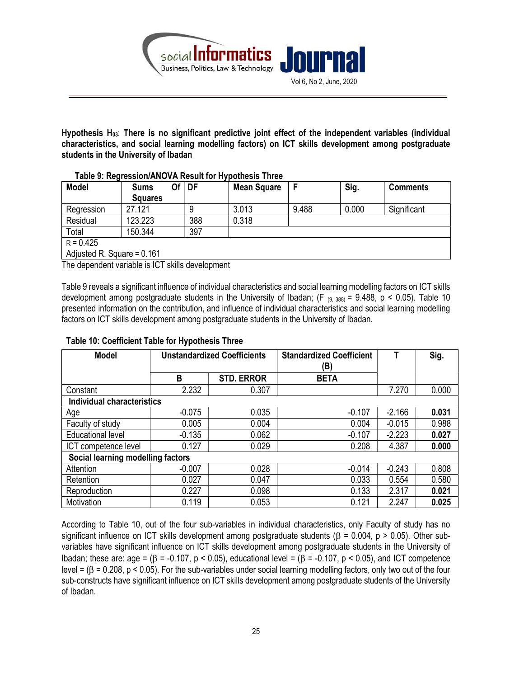

Hypothesis H<sub>03</sub>: There is no significant predictive joint effect of the independent variables (individual characteristics, and social learning modelling factors) on ICT skills development among postgraduate students in the University of Ibadan

| <b>Model</b>                 | <b>Sums</b><br><b>Squares</b> | Οf | DF  | <b>Mean Square</b> |       | Sig.  | <b>Comments</b> |
|------------------------------|-------------------------------|----|-----|--------------------|-------|-------|-----------------|
| Regression                   | 27.121                        |    |     | 3.013              | 9.488 | 0.000 | Significant     |
| Residual                     | 123.223                       |    | 388 | 0.318              |       |       |                 |
| Total                        | 150.344                       |    | 397 |                    |       |       |                 |
| $R = 0.425$                  |                               |    |     |                    |       |       |                 |
| Adjusted R. Square = $0.161$ |                               |    |     |                    |       |       |                 |

# Table 9: Regression/ANOVA Result for Hypothesis Three

The dependent variable is ICT skills development

Table 9 reveals a significant influence of individual characteristics and social learning modelling factors on ICT skills development among postgraduate students in the University of Ibadan; (F  $_{(9, 388)}$  = 9.488, p < 0.05). Table 10 presented information on the contribution, and influence of individual characteristics and social learning modelling factors on ICT skills development among postgraduate students in the University of Ibadan.

| <b>Model</b>                      | <b>Unstandardized Coefficients</b> |                   | <b>Standardized Coefficient</b><br>(B) |          | Sig.  |
|-----------------------------------|------------------------------------|-------------------|----------------------------------------|----------|-------|
|                                   | B                                  | <b>STD. ERROR</b> | <b>BETA</b>                            |          |       |
| Constant                          | 2.232                              | 0.307             |                                        | 7.270    | 0.000 |
| <b>Individual characteristics</b> |                                    |                   |                                        |          |       |
| Age                               | $-0.075$                           | 0.035             | $-0.107$                               | $-2.166$ | 0.031 |
| Faculty of study                  | 0.005                              | 0.004             | 0.004                                  | $-0.015$ | 0.988 |
| <b>Educational level</b>          | $-0.135$                           | 0.062             | $-0.107$                               | $-2.223$ | 0.027 |
| ICT competence level              | 0.127                              | 0.029             | 0.208                                  | 4.387    | 0.000 |
| Social learning modelling factors |                                    |                   |                                        |          |       |
| Attention                         | $-0.007$                           | 0.028             | $-0.014$                               | $-0.243$ | 0.808 |
| Retention                         | 0.027                              | 0.047             | 0.033                                  | 0.554    | 0.580 |
| Reproduction                      | 0.227                              | 0.098             | 0.133                                  | 2.317    | 0.021 |
| Motivation                        | 0.119                              | 0.053             | 0.121                                  | 2.247    | 0.025 |

# Table 10: Coefficient Table for Hypothesis Three

According to Table 10, out of the four sub-variables in individual characteristics, only Faculty of study has no significant influence on ICT skills development among postgraduate students ( $\beta$  = 0.004, p > 0.05). Other subvariables have significant influence on ICT skills development among postgraduate students in the University of Ibadan; these are: age =  $(\beta = -0.107, p < 0.05)$ , educational level =  $(\beta = -0.107, p < 0.05)$ , and ICT competence level =  $(\beta = 0.208, p < 0.05)$ . For the sub-variables under social learning modelling factors, only two out of the four sub-constructs have significant influence on ICT skills development among postgraduate students of the University of Ibadan.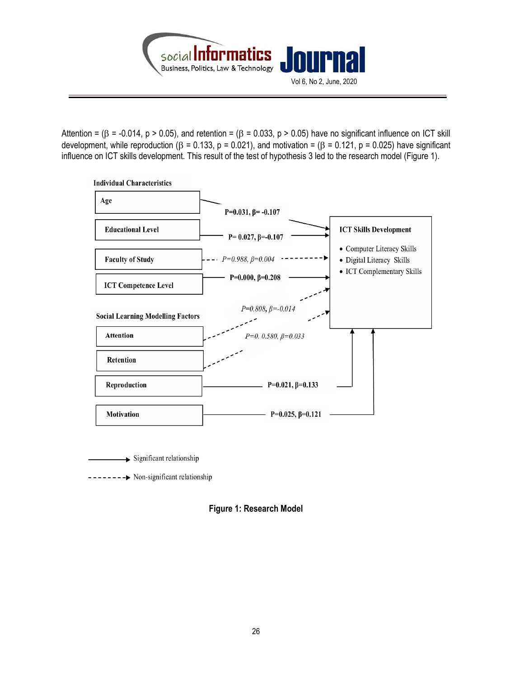

Attention =  $(\beta = -0.014, p > 0.05)$ , and retention =  $(\beta = 0.033, p > 0.05)$  have no significant influence on ICT skill development, while reproduction ( $\beta$  = 0.133, p = 0.021), and motivation = ( $\beta$  = 0.121, p = 0.025) have significant influence on ICT skills development. This result of the test of hypothesis 3 led to the research model (Figure 1).



-------- Non-significant relationship

Figure 1: Research Model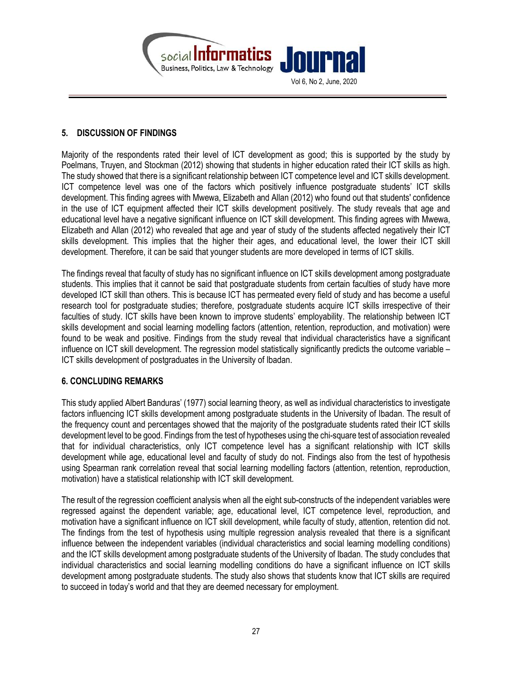

# 5. DISCUSSION OF FINDINGS

Majority of the respondents rated their level of ICT development as good; this is supported by the study by Poelmans, Truyen, and Stockman (2012) showing that students in higher education rated their ICT skills as high. The study showed that there is a significant relationship between ICT competence level and ICT skills development. ICT competence level was one of the factors which positively influence postgraduate students' ICT skills development. This finding agrees with Mwewa, Elizabeth and Allan (2012) who found out that students' confidence in the use of ICT equipment affected their ICT skills development positively. The study reveals that age and educational level have a negative significant influence on ICT skill development. This finding agrees with Mwewa, Elizabeth and Allan (2012) who revealed that age and year of study of the students affected negatively their ICT skills development. This implies that the higher their ages, and educational level, the lower their ICT skill development. Therefore, it can be said that younger students are more developed in terms of ICT skills.

The findings reveal that faculty of study has no significant influence on ICT skills development among postgraduate students. This implies that it cannot be said that postgraduate students from certain faculties of study have more developed ICT skill than others. This is because ICT has permeated every field of study and has become a useful research tool for postgraduate studies; therefore, postgraduate students acquire ICT skills irrespective of their faculties of study. ICT skills have been known to improve students' employability. The relationship between ICT skills development and social learning modelling factors (attention, retention, reproduction, and motivation) were found to be weak and positive. Findings from the study reveal that individual characteristics have a significant influence on ICT skill development. The regression model statistically significantly predicts the outcome variable – ICT skills development of postgraduates in the University of Ibadan.

# 6. CONCLUDING REMARKS

This study applied Albert Banduras' (1977) social learning theory, as well as individual characteristics to investigate factors influencing ICT skills development among postgraduate students in the University of Ibadan. The result of the frequency count and percentages showed that the majority of the postgraduate students rated their ICT skills development level to be good. Findings from the test of hypotheses using the chi-square test of association revealed that for individual characteristics, only ICT competence level has a significant relationship with ICT skills development while age, educational level and faculty of study do not. Findings also from the test of hypothesis using Spearman rank correlation reveal that social learning modelling factors (attention, retention, reproduction, motivation) have a statistical relationship with ICT skill development.

The result of the regression coefficient analysis when all the eight sub-constructs of the independent variables were regressed against the dependent variable; age, educational level, ICT competence level, reproduction, and motivation have a significant influence on ICT skill development, while faculty of study, attention, retention did not. The findings from the test of hypothesis using multiple regression analysis revealed that there is a significant influence between the independent variables (individual characteristics and social learning modelling conditions) and the ICT skills development among postgraduate students of the University of Ibadan. The study concludes that individual characteristics and social learning modelling conditions do have a significant influence on ICT skills development among postgraduate students. The study also shows that students know that ICT skills are required to succeed in today's world and that they are deemed necessary for employment.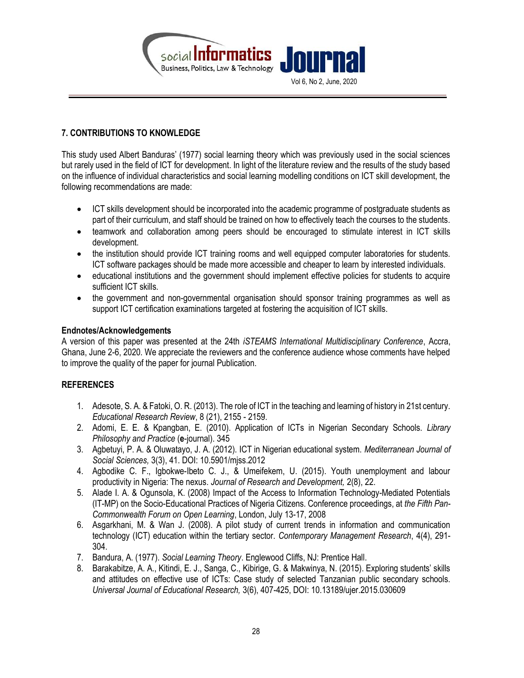

# 7. CONTRIBUTIONS TO KNOWLEDGE

This study used Albert Banduras' (1977) social learning theory which was previously used in the social sciences but rarely used in the field of ICT for development. In light of the literature review and the results of the study based on the influence of individual characteristics and social learning modelling conditions on ICT skill development, the following recommendations are made:

- ICT skills development should be incorporated into the academic programme of postgraduate students as part of their curriculum, and staff should be trained on how to effectively teach the courses to the students.
- teamwork and collaboration among peers should be encouraged to stimulate interest in ICT skills development.
- the institution should provide ICT training rooms and well equipped computer laboratories for students. ICT software packages should be made more accessible and cheaper to learn by interested individuals.
- educational institutions and the government should implement effective policies for students to acquire sufficient ICT skills.
- the government and non-governmental organisation should sponsor training programmes as well as support ICT certification examinations targeted at fostering the acquisition of ICT skills.

### Endnotes/Acknowledgements

A version of this paper was presented at the 24th iSTEAMS International Multidisciplinary Conference, Accra, Ghana, June 2-6, 2020. We appreciate the reviewers and the conference audience whose comments have helped to improve the quality of the paper for journal Publication.

# REFERENCES

- 1. Adesote, S. A. & Fatoki, O. R. (2013). The role of ICT in the teaching and learning of history in 21st century. Educational Research Review, 8 (21), 2155 - 2159.
- 2. Adomi, E. E. & Kpangban, E. (2010). Application of ICTs in Nigerian Secondary Schools. Library Philosophy and Practice (e-journal). 345
- 3. Agbetuyi, P. A. & Oluwatayo, J. A. (2012). ICT in Nigerian educational system. Mediterranean Journal of Social Sciences, 3(3), 41. DOI: 10.5901/mjss.2012
- 4. Agbodike C. F., Igbokwe-Ibeto C. J., & Umeifekem, U. (2015). Youth unemployment and labour productivity in Nigeria: The nexus. Journal of Research and Development, 2(8), 22.
- 5. Alade I. A. & Ogunsola, K. (2008) Impact of the Access to Information Technology-Mediated Potentials (IT-MP) on the Socio-Educational Practices of Nigeria Citizens. Conference proceedings, at the Fifth Pan-Commonwealth Forum on Open Learning, London, July 13-17, 2008
- 6. Asgarkhani, M. & Wan J. (2008). A pilot study of current trends in information and communication technology (ICT) education within the tertiary sector. Contemporary Management Research, 4(4), 291- 304.
- 7. Bandura, A. (1977). Social Learning Theory. Englewood Cliffs, NJ: Prentice Hall.
- 8. Barakabitze, A. A., Kitindi, E. J., Sanga, C., Kibirige, G. & Makwinya, N. (2015). Exploring students' skills and attitudes on effective use of ICTs: Case study of selected Tanzanian public secondary schools. Universal Journal of Educational Research, 3(6), 407-425, DOI: 10.13189/ujer.2015.030609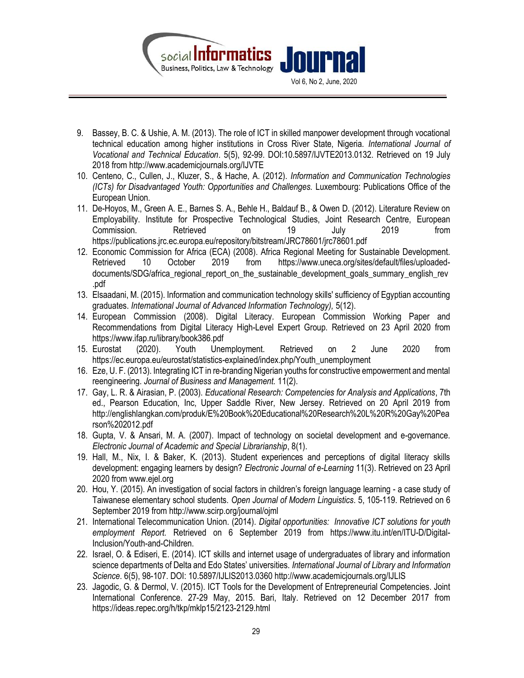

- 9. Bassey, B. C. & Ushie, A. M. (2013). The role of ICT in skilled manpower development through vocational technical education among higher institutions in Cross River State, Nigeria. International Journal of Vocational and Technical Education. 5(5), 92-99. DOI:10.5897/IJVTE2013.0132. Retrieved on 19 July 2018 from http://www.academicjournals.org/IJVTE
- 10. Centeno, C., Cullen, J., Kluzer, S., & Hache, A. (2012). Information and Communication Technologies (ICTs) for Disadvantaged Youth: Opportunities and Challenges. Luxembourg: Publications Office of the European Union.
- 11. De-Hoyos, M., Green A. E., Barnes S. A., Behle H., Baldauf B., & Owen D. (2012). Literature Review on Employability. Institute for Prospective Technological Studies, Joint Research Centre, European Commission. Retrieved on 19 July 2019 from https://publications.jrc.ec.europa.eu/repository/bitstream/JRC78601/jrc78601.pdf
- 12. Economic Commission for Africa (ECA) (2008). Africa Regional Meeting for Sustainable Development. Retrieved 10 October 2019 from https://www.uneca.org/sites/default/files/uploadeddocuments/SDG/africa regional report on the sustainable development goals summary english rev .pdf
- 13. Elsaadani, M. (2015). Information and communication technology skills' sufficiency of Egyptian accounting graduates. International Journal of Advanced Information Technology), 5(12).
- 14. European Commission (2008). Digital Literacy. European Commission Working Paper and Recommendations from Digital Literacy High-Level Expert Group. Retrieved on 23 April 2020 from https://www.ifap.ru/library/book386.pdf
- 15. Eurostat (2020). Youth Unemployment. Retrieved on 2 June 2020 from https://ec.europa.eu/eurostat/statistics-explained/index.php/Youth\_unemployment
- 16. Eze, U. F. (2013). Integrating ICT in re-branding Nigerian youths for constructive empowerment and mental reengineering. Journal of Business and Management. 11(2).
- 17. Gay, L. R. & Airasian, P. (2003). Educational Research: Competencies for Analysis and Applications, 7th ed., Pearson Education, Inc, Upper Saddle River, New Jersey. Retrieved on 20 April 2019 from http://englishlangkan.com/produk/E%20Book%20Educational%20Research%20L%20R%20Gay%20Pea rson%202012.pdf
- 18. Gupta, V. & Ansari, M. A. (2007). Impact of technology on societal development and e-governance. Electronic Journal of Academic and Special Librarianship, 8(1).
- 19. Hall, M., Nix, I. & Baker, K. (2013). Student experiences and perceptions of digital literacy skills development: engaging learners by design? Electronic Journal of e-Learning 11(3). Retrieved on 23 April 2020 from www.ejel.org
- 20. Hou, Y. (2015). An investigation of social factors in children's foreign language learning a case study of Taiwanese elementary school students. Open Journal of Modern Linguistics. 5, 105-119. Retrieved on 6 September 2019 from http://www.scirp.org/journal/ojml
- 21. International Telecommunication Union. (2014). Digital opportunities: Innovative ICT solutions for youth employment Report. Retrieved on 6 September 2019 from https://www.itu.int/en/ITU-D/Digital-Inclusion/Youth-and-Children.
- 22. Israel, O. & Ediseri, E. (2014). ICT skills and internet usage of undergraduates of library and information science departments of Delta and Edo States' universities. International Journal of Library and Information Science. 6(5), 98-107. DOI: 10.5897/IJLIS2013.0360 http://www.academicjournals.org/IJLIS
- 23. Jagodic, G. & Dermol, V. (2015). ICT Tools for the Development of Entrepreneurial Competencies. Joint International Conference. 27-29 May, 2015. Bari, Italy. Retrieved on 12 December 2017 from https://ideas.repec.org/h/tkp/mklp15/2123-2129.html